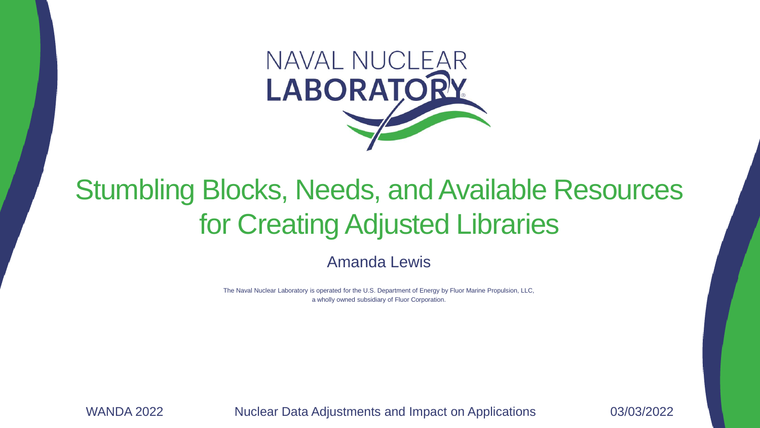

# Stumbling Blocks, Needs, and Available Resources for Creating Adjusted Libraries

Amanda Lewis

The Naval Nuclear Laboratory is operated for the U.S. Department of Energy by Fluor Marine Propulsion, LLC, a wholly owned subsidiary of Fluor Corporation.

WANDA 2022 Nuclear Data Adjustments and Impact on Applications 03/03/2022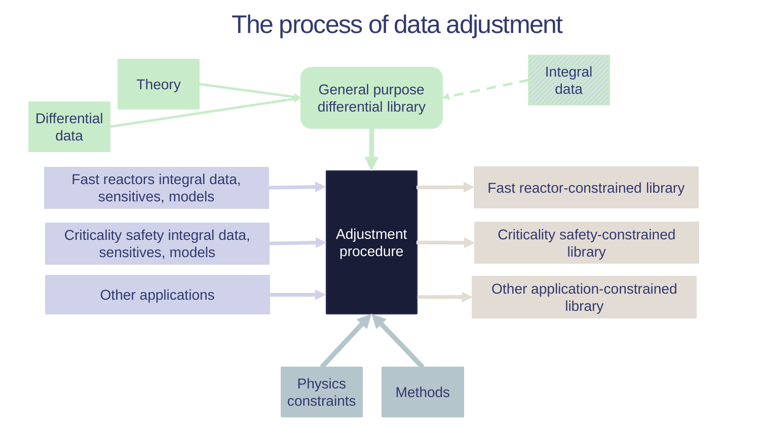#### The process of data adjustment

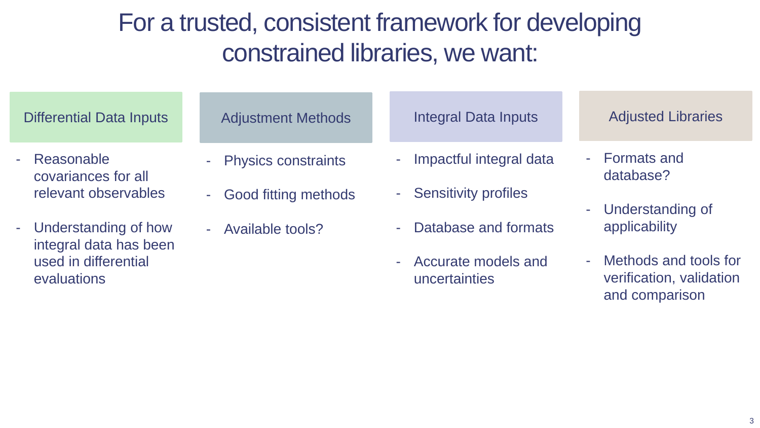## For a trusted, consistent framework for developing constrained libraries, we want:

Differential Data Inputs Adjustment Methods Integral Data Inputs

- Reasonable covariances for all relevant observables

- Understanding of how integral data has been used in differential evaluations

- **Physics constraints**
- Good fitting methods
- Available tools?

- Impactful integral data
- Sensitivity profiles
- Database and formats
- Accurate models and uncertainties

Adjusted Libraries

- **Formats and** database?
- Understanding of applicability
- Methods and tools for verification, validation and comparison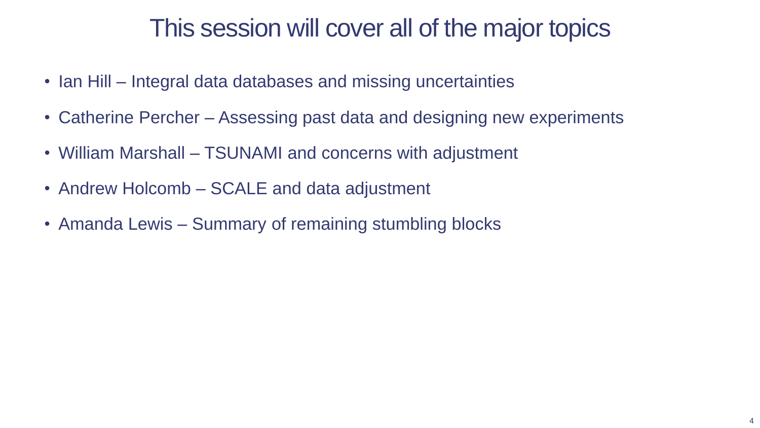#### This session will cover all of the major topics

- Ian Hill Integral data databases and missing uncertainties
- Catherine Percher Assessing past data and designing new experiments
- William Marshall TSUNAMI and concerns with adjustment
- Andrew Holcomb SCALE and data adjustment
- Amanda Lewis Summary of remaining stumbling blocks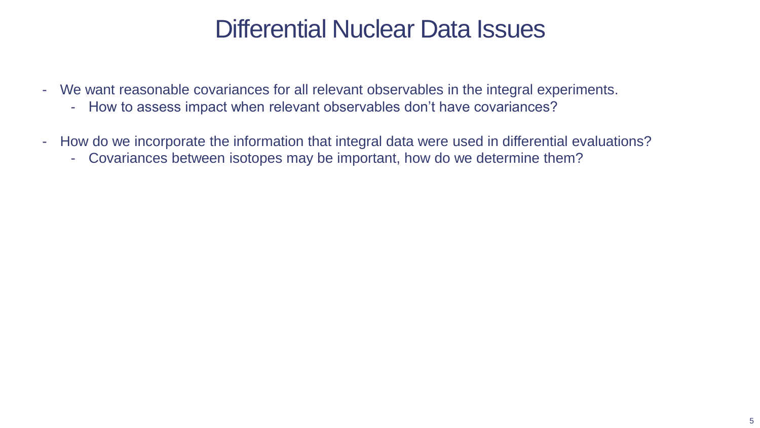#### Differential Nuclear Data Issues

- We want reasonable covariances for all relevant observables in the integral experiments.
	- How to assess impact when relevant observables don't have covariances?
- How do we incorporate the information that integral data were used in differential evaluations?
	- Covariances between isotopes may be important, how do we determine them?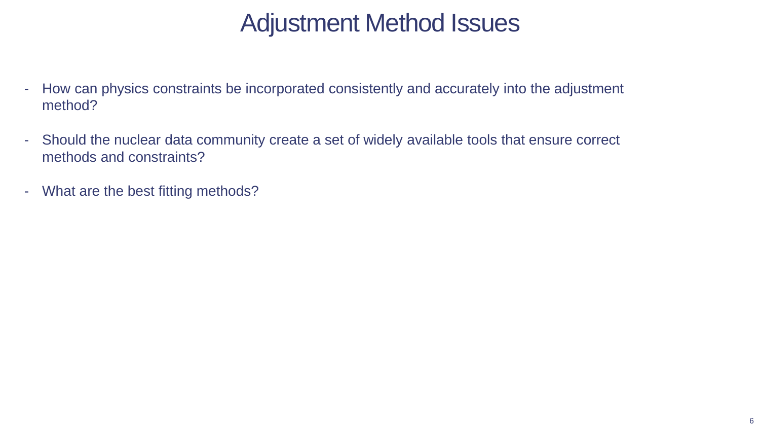## Adjustment Method Issues

- How can physics constraints be incorporated consistently and accurately into the adjustment method?
- Should the nuclear data community create a set of widely available tools that ensure correct methods and constraints?
- What are the best fitting methods?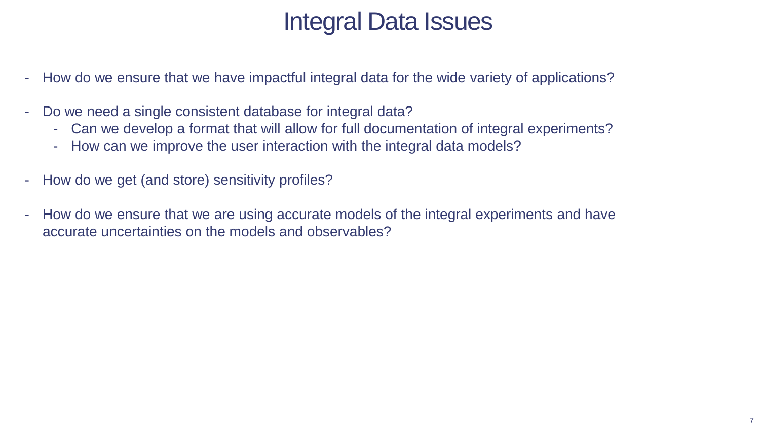### Integral Data Issues

- How do we ensure that we have impactful integral data for the wide variety of applications?
- Do we need a single consistent database for integral data?
	- Can we develop a format that will allow for full documentation of integral experiments?
	- How can we improve the user interaction with the integral data models?
- How do we get (and store) sensitivity profiles?
- How do we ensure that we are using accurate models of the integral experiments and have accurate uncertainties on the models and observables?